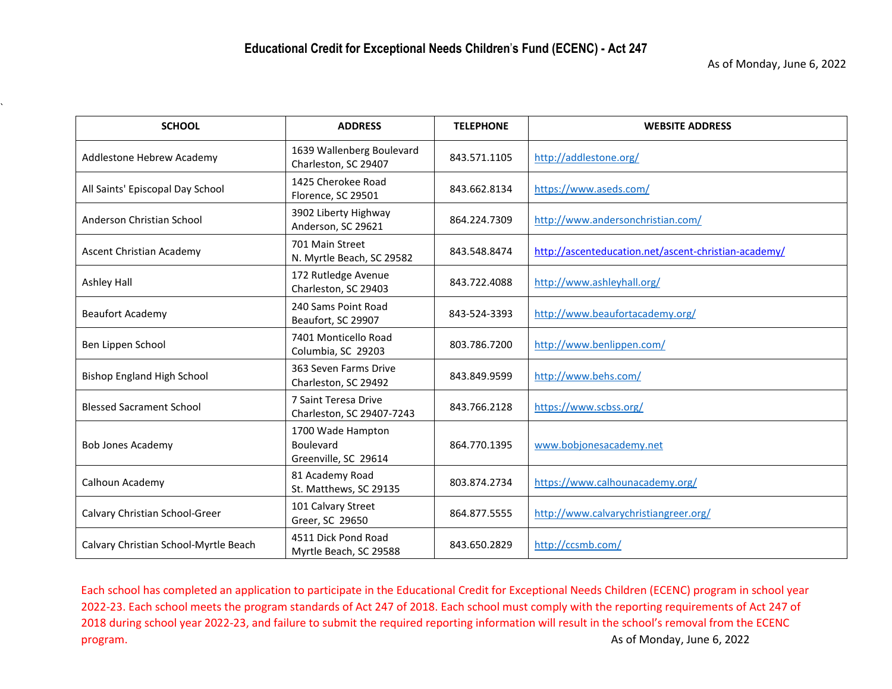`

| <b>SCHOOL</b>                         | <b>ADDRESS</b>                                                | <b>TELEPHONE</b> | <b>WEBSITE ADDRESS</b>                               |
|---------------------------------------|---------------------------------------------------------------|------------------|------------------------------------------------------|
| Addlestone Hebrew Academy             | 1639 Wallenberg Boulevard<br>Charleston, SC 29407             | 843.571.1105     | http://addlestone.org/                               |
| All Saints' Episcopal Day School      | 1425 Cherokee Road<br>Florence, SC 29501                      | 843.662.8134     | https://www.aseds.com/                               |
| Anderson Christian School             | 3902 Liberty Highway<br>Anderson, SC 29621                    | 864.224.7309     | http://www.andersonchristian.com/                    |
| Ascent Christian Academy              | 701 Main Street<br>N. Myrtle Beach, SC 29582                  | 843.548.8474     | http://ascenteducation.net/ascent-christian-academy/ |
| Ashley Hall                           | 172 Rutledge Avenue<br>Charleston, SC 29403                   | 843.722.4088     | http://www.ashleyhall.org/                           |
| <b>Beaufort Academy</b>               | 240 Sams Point Road<br>Beaufort, SC 29907                     | 843-524-3393     | http://www.beaufortacademy.org/                      |
| Ben Lippen School                     | 7401 Monticello Road<br>Columbia, SC 29203                    | 803.786.7200     | http://www.benlippen.com/                            |
| <b>Bishop England High School</b>     | 363 Seven Farms Drive<br>Charleston, SC 29492                 | 843.849.9599     | http://www.behs.com/                                 |
| <b>Blessed Sacrament School</b>       | 7 Saint Teresa Drive<br>Charleston, SC 29407-7243             | 843.766.2128     | https://www.scbss.org/                               |
| <b>Bob Jones Academy</b>              | 1700 Wade Hampton<br><b>Boulevard</b><br>Greenville, SC 29614 | 864.770.1395     | www.bobjonesacademy.net                              |
| Calhoun Academy                       | 81 Academy Road<br>St. Matthews, SC 29135                     | 803.874.2734     | https://www.calhounacademy.org/                      |
| Calvary Christian School-Greer        | 101 Calvary Street<br>Greer, SC 29650                         | 864.877.5555     | http://www.calvarychristiangreer.org/                |
| Calvary Christian School-Myrtle Beach | 4511 Dick Pond Road<br>Myrtle Beach, SC 29588                 | 843.650.2829     | http://ccsmb.com/                                    |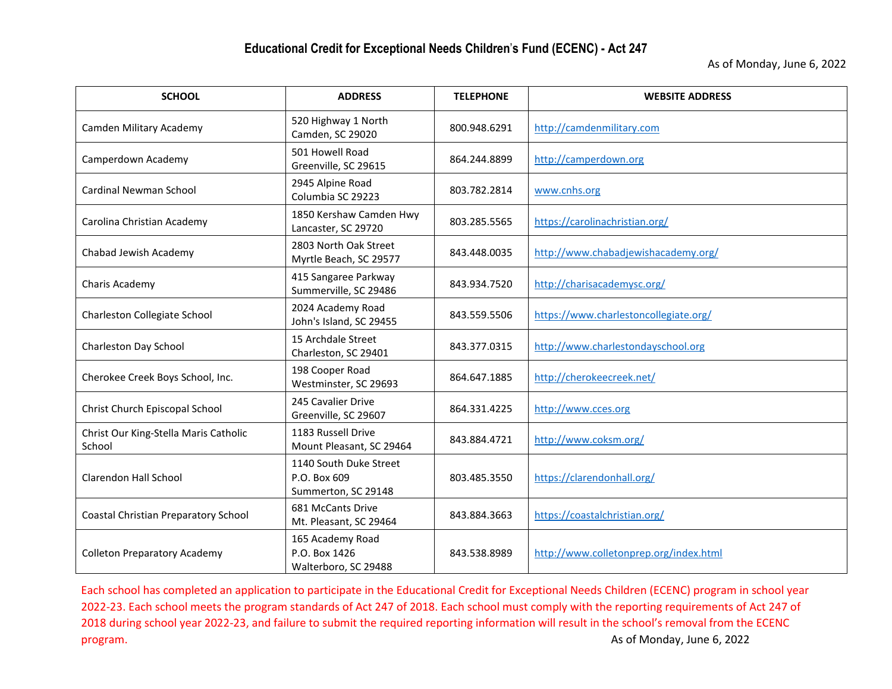| <b>SCHOOL</b>                                   | <b>ADDRESS</b>                                                | <b>TELEPHONE</b> | <b>WEBSITE ADDRESS</b>                 |
|-------------------------------------------------|---------------------------------------------------------------|------------------|----------------------------------------|
| Camden Military Academy                         | 520 Highway 1 North<br>Camden, SC 29020                       | 800.948.6291     | http://camdenmilitary.com              |
| Camperdown Academy                              | 501 Howell Road<br>Greenville, SC 29615                       | 864.244.8899     | http://camperdown.org                  |
| Cardinal Newman School                          | 2945 Alpine Road<br>Columbia SC 29223                         | 803.782.2814     | www.cnhs.org                           |
| Carolina Christian Academy                      | 1850 Kershaw Camden Hwy<br>Lancaster, SC 29720                | 803.285.5565     | https://carolinachristian.org/         |
| Chabad Jewish Academy                           | 2803 North Oak Street<br>Myrtle Beach, SC 29577               | 843.448.0035     | http://www.chabadjewishacademy.org/    |
| Charis Academy                                  | 415 Sangaree Parkway<br>Summerville, SC 29486                 | 843.934.7520     | http://charisacademysc.org/            |
| Charleston Collegiate School                    | 2024 Academy Road<br>John's Island, SC 29455                  | 843.559.5506     | https://www.charlestoncollegiate.org/  |
| Charleston Day School                           | 15 Archdale Street<br>Charleston, SC 29401                    | 843.377.0315     | http://www.charlestondayschool.org     |
| Cherokee Creek Boys School, Inc.                | 198 Cooper Road<br>Westminster, SC 29693                      | 864.647.1885     | http://cherokeecreek.net/              |
| Christ Church Episcopal School                  | 245 Cavalier Drive<br>Greenville, SC 29607                    | 864.331.4225     | http://www.cces.org                    |
| Christ Our King-Stella Maris Catholic<br>School | 1183 Russell Drive<br>Mount Pleasant, SC 29464                | 843.884.4721     | http://www.coksm.org/                  |
| <b>Clarendon Hall School</b>                    | 1140 South Duke Street<br>P.O. Box 609<br>Summerton, SC 29148 | 803.485.3550     | https://clarendonhall.org/             |
| Coastal Christian Preparatory School            | 681 McCants Drive<br>Mt. Pleasant, SC 29464                   | 843.884.3663     | https://coastalchristian.org/          |
| <b>Colleton Preparatory Academy</b>             | 165 Academy Road<br>P.O. Box 1426<br>Walterboro, SC 29488     | 843.538.8989     | http://www.colletonprep.org/index.html |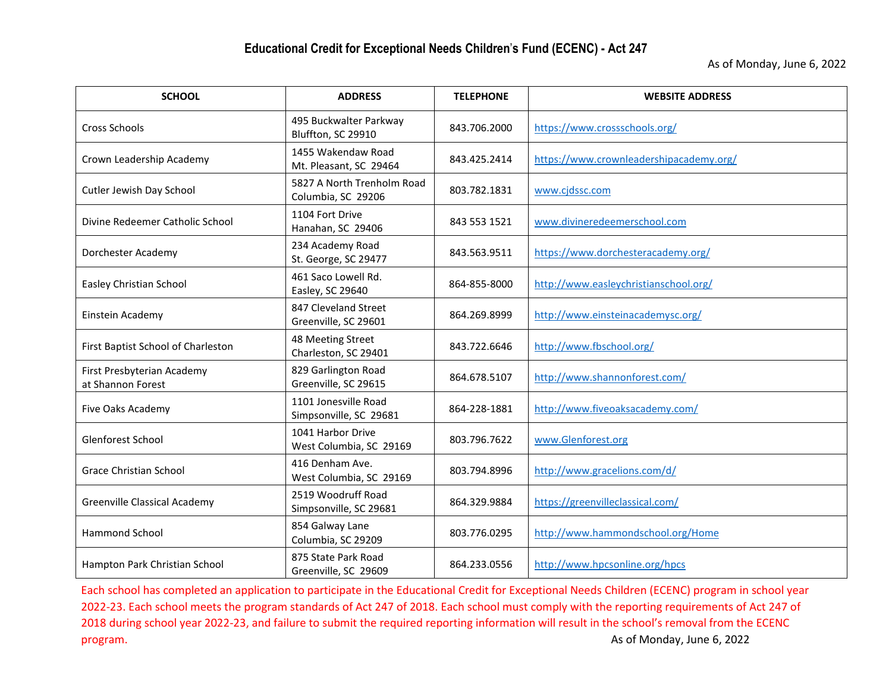| <b>SCHOOL</b>                                   | <b>ADDRESS</b>                                   | <b>TELEPHONE</b> | <b>WEBSITE ADDRESS</b>                  |
|-------------------------------------------------|--------------------------------------------------|------------------|-----------------------------------------|
| <b>Cross Schools</b>                            | 495 Buckwalter Parkway<br>Bluffton, SC 29910     | 843.706.2000     | https://www.crossschools.org/           |
| Crown Leadership Academy                        | 1455 Wakendaw Road<br>Mt. Pleasant, SC 29464     | 843.425.2414     | https://www.crownleadershipacademy.org/ |
| Cutler Jewish Day School                        | 5827 A North Trenholm Road<br>Columbia, SC 29206 | 803.782.1831     | www.cjdssc.com                          |
| Divine Redeemer Catholic School                 | 1104 Fort Drive<br>Hanahan, SC 29406             | 843 553 1521     | www.divineredeemerschool.com            |
| Dorchester Academy                              | 234 Academy Road<br>St. George, SC 29477         | 843.563.9511     | https://www.dorchesteracademy.org/      |
| Easley Christian School                         | 461 Saco Lowell Rd.<br>Easley, SC 29640          | 864-855-8000     | http://www.easleychristianschool.org/   |
| Einstein Academy                                | 847 Cleveland Street<br>Greenville, SC 29601     | 864.269.8999     | http://www.einsteinacademysc.org/       |
| First Baptist School of Charleston              | 48 Meeting Street<br>Charleston, SC 29401        | 843.722.6646     | http://www.fbschool.org/                |
| First Presbyterian Academy<br>at Shannon Forest | 829 Garlington Road<br>Greenville, SC 29615      | 864.678.5107     | http://www.shannonforest.com/           |
| Five Oaks Academy                               | 1101 Jonesville Road<br>Simpsonville, SC 29681   | 864-228-1881     | http://www.fiveoaksacademy.com/         |
| Glenforest School                               | 1041 Harbor Drive<br>West Columbia, SC 29169     | 803.796.7622     | www.Glenforest.org                      |
| Grace Christian School                          | 416 Denham Ave.<br>West Columbia, SC 29169       | 803.794.8996     | http://www.gracelions.com/d/            |
| <b>Greenville Classical Academy</b>             | 2519 Woodruff Road<br>Simpsonville, SC 29681     | 864.329.9884     | https://greenvilleclassical.com/        |
| <b>Hammond School</b>                           | 854 Galway Lane<br>Columbia, SC 29209            | 803.776.0295     | http://www.hammondschool.org/Home       |
| Hampton Park Christian School                   | 875 State Park Road<br>Greenville, SC 29609      | 864.233.0556     | http://www.hpcsonline.org/hpcs          |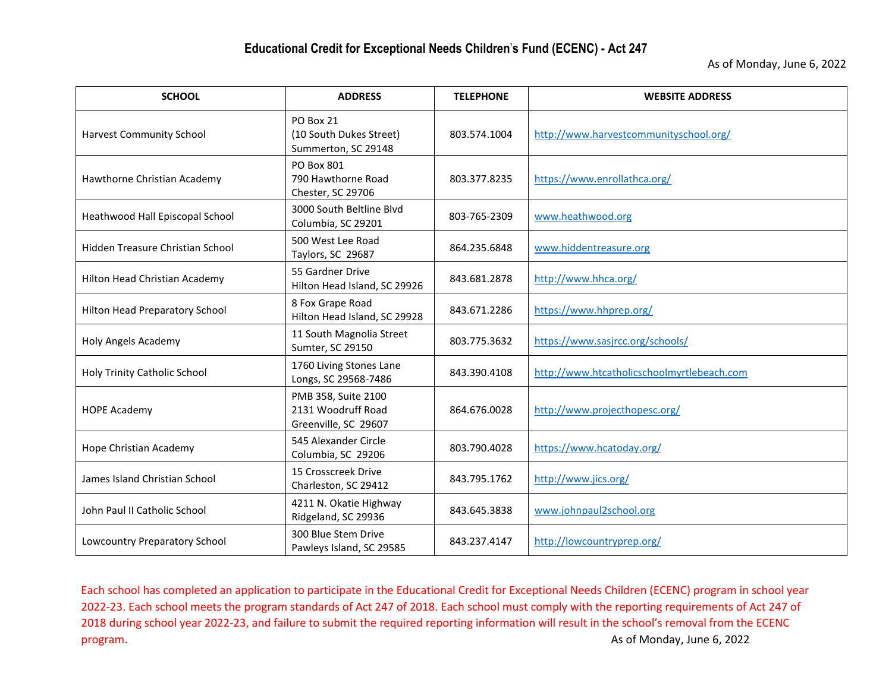| <b>SCHOOL</b>                    | <b>ADDRESS</b>                                                    | <b>TELEPHONE</b> | <b>WEBSITE ADDRESS</b>                     |
|----------------------------------|-------------------------------------------------------------------|------------------|--------------------------------------------|
| <b>Harvest Community School</b>  | PO Box 21<br>(10 South Dukes Street)<br>Summerton, SC 29148       | 803.574.1004     | http://www.harvestcommunityschool.org/     |
| Hawthorne Christian Academy      | PO Box 801<br>790 Hawthorne Road<br>Chester, SC 29706             | 803.377.8235     | https://www.enrollathca.org/               |
| Heathwood Hall Episcopal School  | 3000 South Beltline Blvd<br>Columbia, SC 29201                    | 803-765-2309     | www.heathwood.org                          |
| Hidden Treasure Christian School | 500 West Lee Road<br>Taylors, SC 29687                            | 864.235.6848     | www.hiddentreasure.org                     |
| Hilton Head Christian Academy    | 55 Gardner Drive<br>Hilton Head Island, SC 29926                  | 843.681.2878     | http://www.hhca.org/                       |
| Hilton Head Preparatory School   | 8 Fox Grape Road<br>Hilton Head Island, SC 29928                  | 843.671.2286     | https://www.hhprep.org/                    |
| <b>Holy Angels Academy</b>       | 11 South Magnolia Street<br>Sumter, SC 29150                      | 803.775.3632     | https://www.sasjrcc.org/schools/           |
| Holy Trinity Catholic School     | 1760 Living Stones Lane<br>Longs, SC 29568-7486                   | 843.390.4108     | http://www.htcatholicschoolmyrtlebeach.com |
| <b>HOPE Academy</b>              | PMB 358, Suite 2100<br>2131 Woodruff Road<br>Greenville, SC 29607 | 864.676.0028     | http://www.projecthopesc.org/              |
| Hope Christian Academy           | 545 Alexander Circle<br>Columbia, SC 29206                        | 803.790.4028     | https://www.hcatoday.org/                  |
| James Island Christian School    | 15 Crosscreek Drive<br>Charleston, SC 29412                       | 843.795.1762     | http://www.jics.org/                       |
| John Paul II Catholic School     | 4211 N. Okatie Highway<br>Ridgeland, SC 29936                     | 843.645.3838     | www.johnpaul2school.org                    |
| Lowcountry Preparatory School    | 300 Blue Stem Drive<br>Pawleys Island, SC 29585                   | 843.237.4147     | http://lowcountryprep.org/                 |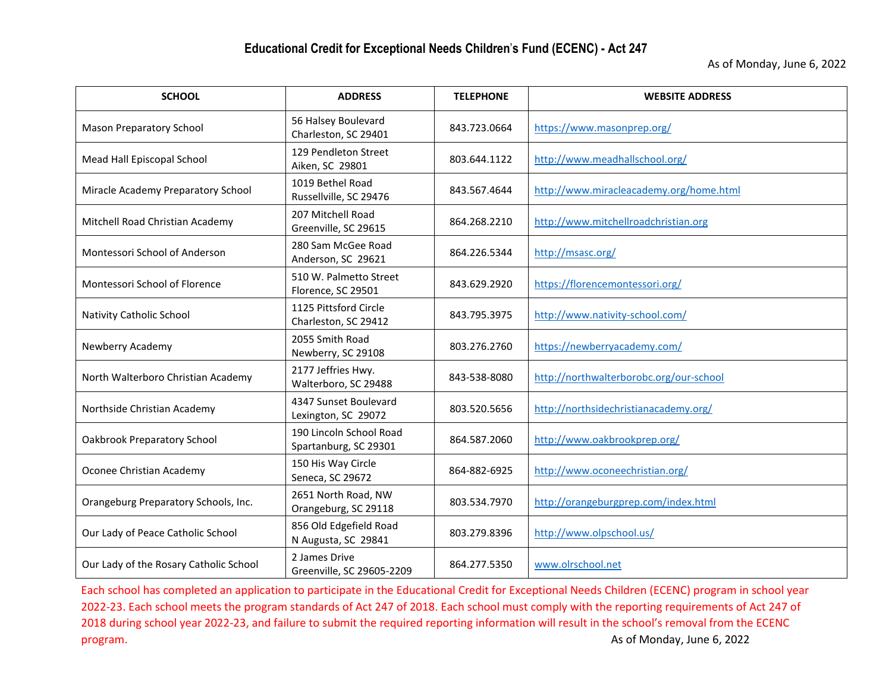| <b>SCHOOL</b>                          | <b>ADDRESS</b>                                   | <b>TELEPHONE</b> | <b>WEBSITE ADDRESS</b>                  |
|----------------------------------------|--------------------------------------------------|------------------|-----------------------------------------|
| <b>Mason Preparatory School</b>        | 56 Halsey Boulevard<br>Charleston, SC 29401      | 843.723.0664     | https://www.masonprep.org/              |
| Mead Hall Episcopal School             | 129 Pendleton Street<br>Aiken, SC 29801          | 803.644.1122     | http://www.meadhallschool.org/          |
| Miracle Academy Preparatory School     | 1019 Bethel Road<br>Russellville, SC 29476       | 843.567.4644     | http://www.miracleacademy.org/home.html |
| Mitchell Road Christian Academy        | 207 Mitchell Road<br>Greenville, SC 29615        | 864.268.2210     | http://www.mitchellroadchristian.org    |
| Montessori School of Anderson          | 280 Sam McGee Road<br>Anderson, SC 29621         | 864.226.5344     | http://msasc.org/                       |
| Montessori School of Florence          | 510 W. Palmetto Street<br>Florence, SC 29501     | 843.629.2920     | https://florencemontessori.org/         |
| Nativity Catholic School               | 1125 Pittsford Circle<br>Charleston, SC 29412    | 843.795.3975     | http://www.nativity-school.com/         |
| Newberry Academy                       | 2055 Smith Road<br>Newberry, SC 29108            | 803.276.2760     | https://newberryacademy.com/            |
| North Walterboro Christian Academy     | 2177 Jeffries Hwy.<br>Walterboro, SC 29488       | 843-538-8080     | http://northwalterborobc.org/our-school |
| Northside Christian Academy            | 4347 Sunset Boulevard<br>Lexington, SC 29072     | 803.520.5656     | http://northsidechristianacademy.org/   |
| Oakbrook Preparatory School            | 190 Lincoln School Road<br>Spartanburg, SC 29301 | 864.587.2060     | http://www.oakbrookprep.org/            |
| Oconee Christian Academy               | 150 His Way Circle<br>Seneca, SC 29672           | 864-882-6925     | http://www.oconeechristian.org/         |
| Orangeburg Preparatory Schools, Inc.   | 2651 North Road, NW<br>Orangeburg, SC 29118      | 803.534.7970     | http://orangeburgprep.com/index.html    |
| Our Lady of Peace Catholic School      | 856 Old Edgefield Road<br>N Augusta, SC 29841    | 803.279.8396     | http://www.olpschool.us/                |
| Our Lady of the Rosary Catholic School | 2 James Drive<br>Greenville, SC 29605-2209       | 864.277.5350     | www.olrschool.net                       |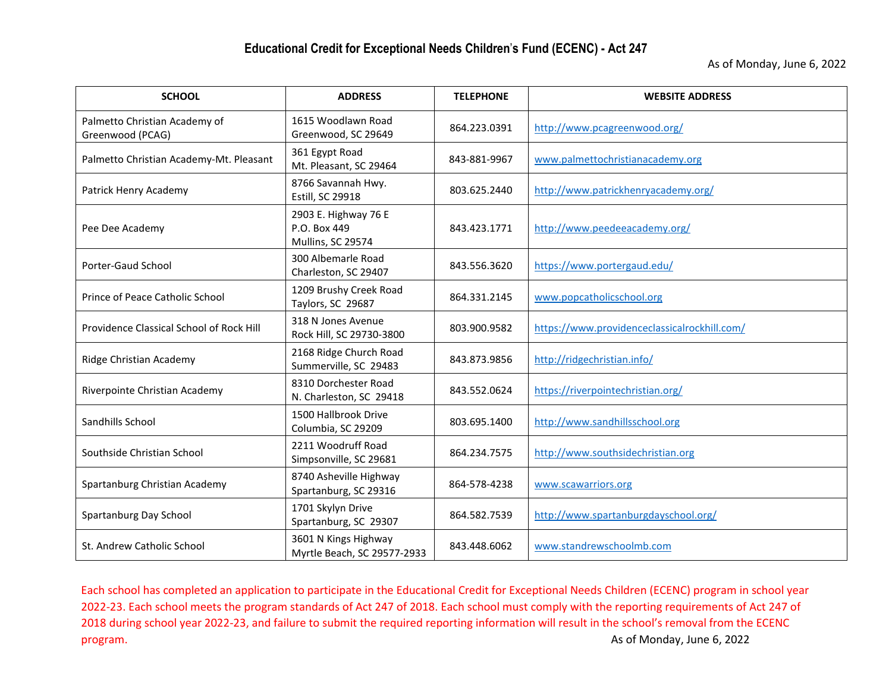| <b>SCHOOL</b>                                     | <b>ADDRESS</b>                                            | <b>TELEPHONE</b> | <b>WEBSITE ADDRESS</b>                       |
|---------------------------------------------------|-----------------------------------------------------------|------------------|----------------------------------------------|
| Palmetto Christian Academy of<br>Greenwood (PCAG) | 1615 Woodlawn Road<br>Greenwood, SC 29649                 | 864.223.0391     | http://www.pcagreenwood.org/                 |
| Palmetto Christian Academy-Mt. Pleasant           | 361 Egypt Road<br>Mt. Pleasant, SC 29464                  | 843-881-9967     | www.palmettochristianacademy.org             |
| Patrick Henry Academy                             | 8766 Savannah Hwy.<br>Estill, SC 29918                    | 803.625.2440     | http://www.patrickhenryacademy.org/          |
| Pee Dee Academy                                   | 2903 E. Highway 76 E<br>P.O. Box 449<br>Mullins, SC 29574 | 843.423.1771     | http://www.peedeeacademy.org/                |
| Porter-Gaud School                                | 300 Albemarle Road<br>Charleston, SC 29407                | 843.556.3620     | https://www.portergaud.edu/                  |
| Prince of Peace Catholic School                   | 1209 Brushy Creek Road<br>Taylors, SC 29687               | 864.331.2145     | www.popcatholicschool.org                    |
| Providence Classical School of Rock Hill          | 318 N Jones Avenue<br>Rock Hill, SC 29730-3800            | 803.900.9582     | https://www.providenceclassicalrockhill.com/ |
| Ridge Christian Academy                           | 2168 Ridge Church Road<br>Summerville, SC 29483           | 843.873.9856     | http://ridgechristian.info/                  |
| Riverpointe Christian Academy                     | 8310 Dorchester Road<br>N. Charleston, SC 29418           | 843.552.0624     | https://riverpointechristian.org/            |
| Sandhills School                                  | 1500 Hallbrook Drive<br>Columbia, SC 29209                | 803.695.1400     | http://www.sandhillsschool.org               |
| Southside Christian School                        | 2211 Woodruff Road<br>Simpsonville, SC 29681              | 864.234.7575     | http://www.southsidechristian.org            |
| Spartanburg Christian Academy                     | 8740 Asheville Highway<br>Spartanburg, SC 29316           | 864-578-4238     | www.scawarriors.org                          |
| Spartanburg Day School                            | 1701 Skylyn Drive<br>Spartanburg, SC 29307                | 864.582.7539     | http://www.spartanburgdayschool.org/         |
| St. Andrew Catholic School                        | 3601 N Kings Highway<br>Myrtle Beach, SC 29577-2933       | 843.448.6062     | www.standrewschoolmb.com                     |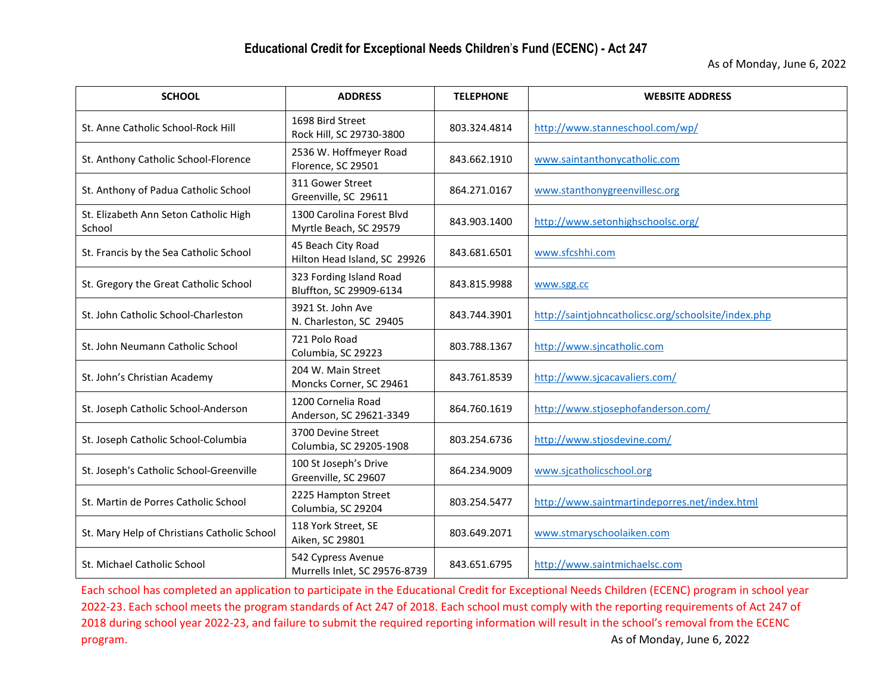| <b>SCHOOL</b>                                   | <b>ADDRESS</b>                                      | <b>TELEPHONE</b> | <b>WEBSITE ADDRESS</b>                              |
|-------------------------------------------------|-----------------------------------------------------|------------------|-----------------------------------------------------|
| St. Anne Catholic School-Rock Hill              | 1698 Bird Street<br>Rock Hill, SC 29730-3800        | 803.324.4814     | http://www.stanneschool.com/wp/                     |
| St. Anthony Catholic School-Florence            | 2536 W. Hoffmeyer Road<br>Florence, SC 29501        | 843.662.1910     | www.saintanthonycatholic.com                        |
| St. Anthony of Padua Catholic School            | 311 Gower Street<br>Greenville, SC 29611            | 864.271.0167     | www.stanthonygreenvillesc.org                       |
| St. Elizabeth Ann Seton Catholic High<br>School | 1300 Carolina Forest Blvd<br>Myrtle Beach, SC 29579 | 843.903.1400     | http://www.setonhighschoolsc.org/                   |
| St. Francis by the Sea Catholic School          | 45 Beach City Road<br>Hilton Head Island, SC 29926  | 843.681.6501     | www.sfcshhi.com                                     |
| St. Gregory the Great Catholic School           | 323 Fording Island Road<br>Bluffton, SC 29909-6134  | 843.815.9988     | www.sgg.cc                                          |
| St. John Catholic School-Charleston             | 3921 St. John Ave<br>N. Charleston, SC 29405        | 843.744.3901     | http://saintjohncatholicsc.org/schoolsite/index.php |
| St. John Neumann Catholic School                | 721 Polo Road<br>Columbia, SC 29223                 | 803.788.1367     | http://www.sjncatholic.com                          |
| St. John's Christian Academy                    | 204 W. Main Street<br>Moncks Corner, SC 29461       | 843.761.8539     | http://www.sjcacavaliers.com/                       |
| St. Joseph Catholic School-Anderson             | 1200 Cornelia Road<br>Anderson, SC 29621-3349       | 864.760.1619     | http://www.stjosephofanderson.com/                  |
| St. Joseph Catholic School-Columbia             | 3700 Devine Street<br>Columbia, SC 29205-1908       | 803.254.6736     | http://www.stjosdevine.com/                         |
| St. Joseph's Catholic School-Greenville         | 100 St Joseph's Drive<br>Greenville, SC 29607       | 864.234.9009     | www.sjcatholicschool.org                            |
| St. Martin de Porres Catholic School            | 2225 Hampton Street<br>Columbia, SC 29204           | 803.254.5477     | http://www.saintmartindeporres.net/index.html       |
| St. Mary Help of Christians Catholic School     | 118 York Street, SE<br>Aiken, SC 29801              | 803.649.2071     | www.stmaryschoolaiken.com                           |
| St. Michael Catholic School                     | 542 Cypress Avenue<br>Murrells Inlet, SC 29576-8739 | 843.651.6795     | http://www.saintmichaelsc.com                       |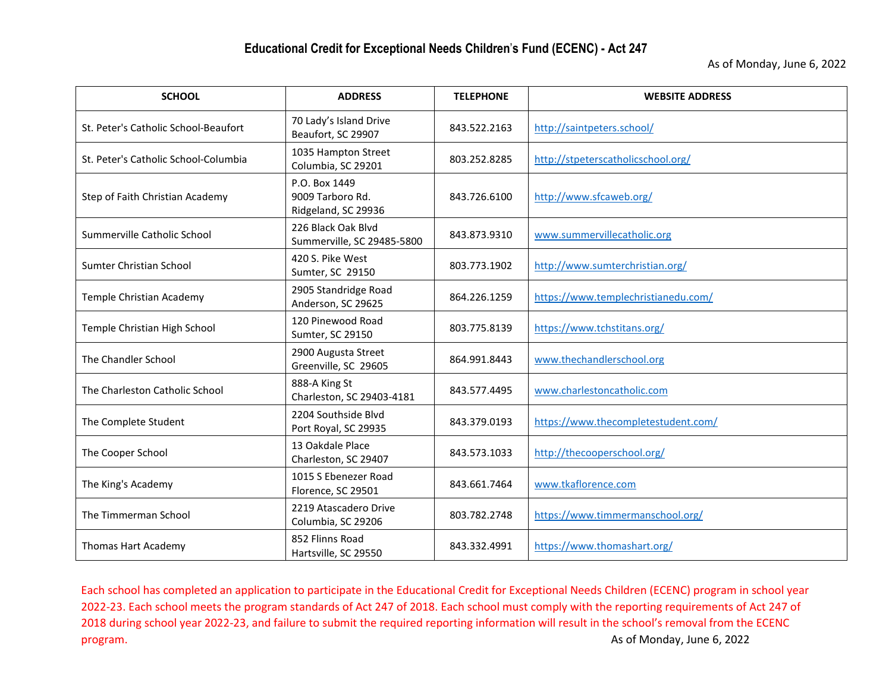As of Monday, June 6, 2022

| <b>SCHOOL</b>                        | <b>ADDRESS</b>                                           | <b>TELEPHONE</b> | <b>WEBSITE ADDRESS</b>              |
|--------------------------------------|----------------------------------------------------------|------------------|-------------------------------------|
| St. Peter's Catholic School-Beaufort | 70 Lady's Island Drive<br>Beaufort, SC 29907             | 843.522.2163     | http://saintpeters.school/          |
| St. Peter's Catholic School-Columbia | 1035 Hampton Street<br>Columbia, SC 29201                | 803.252.8285     | http://stpeterscatholicschool.org/  |
| Step of Faith Christian Academy      | P.O. Box 1449<br>9009 Tarboro Rd.<br>Ridgeland, SC 29936 | 843.726.6100     | http://www.sfcaweb.org/             |
| Summerville Catholic School          | 226 Black Oak Blvd<br>Summerville, SC 29485-5800         | 843.873.9310     | www.summervillecatholic.org         |
| Sumter Christian School              | 420 S. Pike West<br>Sumter, SC 29150                     | 803.773.1902     | http://www.sumterchristian.org/     |
| Temple Christian Academy             | 2905 Standridge Road<br>Anderson, SC 29625               | 864.226.1259     | https://www.templechristianedu.com/ |
| Temple Christian High School         | 120 Pinewood Road<br>Sumter, SC 29150                    | 803.775.8139     | https://www.tchstitans.org/         |
| The Chandler School                  | 2900 Augusta Street<br>Greenville, SC 29605              | 864.991.8443     | www.thechandlerschool.org           |
| The Charleston Catholic School       | 888-A King St<br>Charleston, SC 29403-4181               | 843.577.4495     | www.charlestoncatholic.com          |
| The Complete Student                 | 2204 Southside Blvd<br>Port Royal, SC 29935              | 843.379.0193     | https://www.thecompletestudent.com/ |
| The Cooper School                    | 13 Oakdale Place<br>Charleston, SC 29407                 | 843.573.1033     | http://thecooperschool.org/         |
| The King's Academy                   | 1015 S Ebenezer Road<br>Florence, SC 29501               | 843.661.7464     | www.tkaflorence.com                 |
| The Timmerman School                 | 2219 Atascadero Drive<br>Columbia, SC 29206              | 803.782.2748     | https://www.timmermanschool.org/    |
| <b>Thomas Hart Academy</b>           | 852 Flinns Road<br>Hartsville, SC 29550                  | 843.332.4991     | https://www.thomashart.org/         |